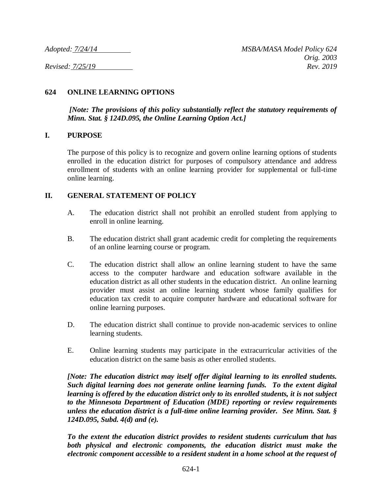## **624 ONLINE LEARNING OPTIONS**

*[Note: The provisions of this policy substantially reflect the statutory requirements of Minn. Stat. § 124D.095, the Online Learning Option Act.]*

### **I. PURPOSE**

The purpose of this policy is to recognize and govern online learning options of students enrolled in the education district for purposes of compulsory attendance and address enrollment of students with an online learning provider for supplemental or full-time online learning.

### **II. GENERAL STATEMENT OF POLICY**

- A. The education district shall not prohibit an enrolled student from applying to enroll in online learning.
- B. The education district shall grant academic credit for completing the requirements of an online learning course or program.
- C. The education district shall allow an online learning student to have the same access to the computer hardware and education software available in the education district as all other students in the education district. An online learning provider must assist an online learning student whose family qualifies for education tax credit to acquire computer hardware and educational software for online learning purposes.
- D. The education district shall continue to provide non-academic services to online learning students.
- E. Online learning students may participate in the extracurricular activities of the education district on the same basis as other enrolled students.

*[Note: The education district may itself offer digital learning to its enrolled students. Such digital learning does not generate online learning funds. To the extent digital learning is offered by the education district only to its enrolled students, it is not subject to the Minnesota Department of Education (MDE) reporting or review requirements unless the education district is a full-time online learning provider. See Minn. Stat. § 124D.095, Subd. 4(d) and (e).*

*To the extent the education district provides to resident students curriculum that has both physical and electronic components, the education district must make the electronic component accessible to a resident student in a home school at the request of*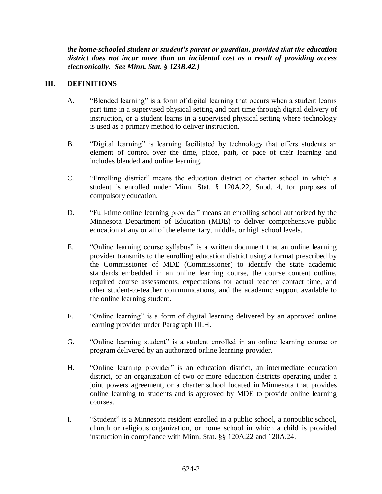*the home-schooled student or student's parent or guardian, provided that the education district does not incur more than an incidental cost as a result of providing access electronically. See Minn. Stat. § 123B.42.]*

## **III. DEFINITIONS**

- A. "Blended learning" is a form of digital learning that occurs when a student learns part time in a supervised physical setting and part time through digital delivery of instruction, or a student learns in a supervised physical setting where technology is used as a primary method to deliver instruction.
- B. "Digital learning" is learning facilitated by technology that offers students an element of control over the time, place, path, or pace of their learning and includes blended and online learning.
- C. "Enrolling district" means the education district or charter school in which a student is enrolled under Minn. Stat. § 120A.22, Subd. 4, for purposes of compulsory education.
- D. "Full-time online learning provider" means an enrolling school authorized by the Minnesota Department of Education (MDE) to deliver comprehensive public education at any or all of the elementary, middle, or high school levels.
- E. "Online learning course syllabus" is a written document that an online learning provider transmits to the enrolling education district using a format prescribed by the Commissioner of MDE (Commissioner) to identify the state academic standards embedded in an online learning course, the course content outline, required course assessments, expectations for actual teacher contact time, and other student-to-teacher communications, and the academic support available to the online learning student.
- F. "Online learning" is a form of digital learning delivered by an approved online learning provider under Paragraph III.H.
- G. "Online learning student" is a student enrolled in an online learning course or program delivered by an authorized online learning provider.
- H. "Online learning provider" is an education district, an intermediate education district, or an organization of two or more education districts operating under a joint powers agreement, or a charter school located in Minnesota that provides online learning to students and is approved by MDE to provide online learning courses.
- I. "Student" is a Minnesota resident enrolled in a public school, a nonpublic school, church or religious organization, or home school in which a child is provided instruction in compliance with Minn. Stat. §§ 120A.22 and 120A.24.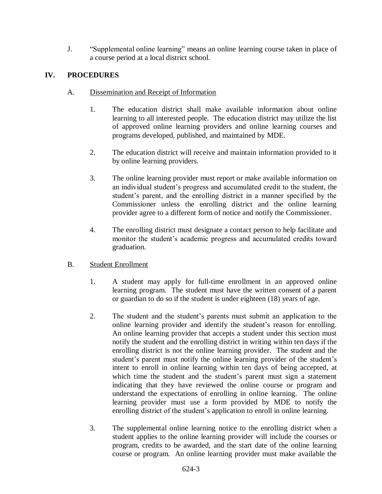J. "Supplemental online learning" means an online learning course taken in place of a course period at a local district school.

# **IV. PROCEDURES**

- A. Dissemination and Receipt of Information
	- 1. The education district shall make available information about online learning to all interested people. The education district may utilize the list of approved online learning providers and online learning courses and programs developed, published, and maintained by MDE.
	- 2. The education district will receive and maintain information provided to it by online learning providers.
	- 3. The online learning provider must report or make available information on an individual student's progress and accumulated credit to the student, the student's parent, and the enrolling district in a manner specified by the Commissioner unless the enrolling district and the online learning provider agree to a different form of notice and notify the Commissioner.
	- 4. The enrolling district must designate a contact person to help facilitate and monitor the student's academic progress and accumulated credits toward graduation.

## B. Student Enrollment

- 1. A student may apply for full-time enrollment in an approved online learning program. The student must have the written consent of a parent or guardian to do so if the student is under eighteen (18) years of age.
- 2. The student and the student's parents must submit an application to the online learning provider and identify the student's reason for enrolling. An online learning provider that accepts a student under this section must notify the student and the enrolling district in writing within ten days if the enrolling district is not the online learning provider. The student and the student's parent must notify the online learning provider of the student's intent to enroll in online learning within ten days of being accepted, at which time the student and the student's parent must sign a statement indicating that they have reviewed the online course or program and understand the expectations of enrolling in online learning. The online learning provider must use a form provided by MDE to notify the enrolling district of the student's application to enroll in online learning.
- 3. The supplemental online learning notice to the enrolling district when a student applies to the online learning provider will include the courses or program, credits to be awarded, and the start date of the online learning course or program. An online learning provider must make available the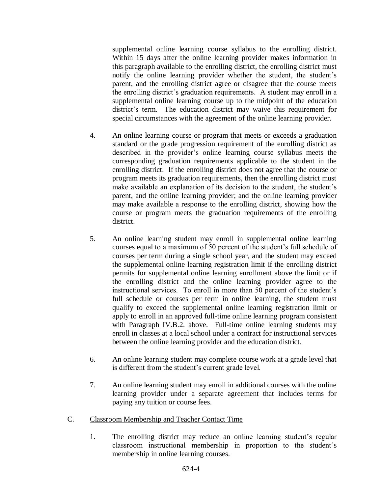supplemental online learning course syllabus to the enrolling district. Within 15 days after the online learning provider makes information in this paragraph available to the enrolling district, the enrolling district must notify the online learning provider whether the student, the student's parent, and the enrolling district agree or disagree that the course meets the enrolling district's graduation requirements. A student may enroll in a supplemental online learning course up to the midpoint of the education district's term. The education district may waive this requirement for special circumstances with the agreement of the online learning provider.

- 4. An online learning course or program that meets or exceeds a graduation standard or the grade progression requirement of the enrolling district as described in the provider's online learning course syllabus meets the corresponding graduation requirements applicable to the student in the enrolling district. If the enrolling district does not agree that the course or program meets its graduation requirements, then the enrolling district must make available an explanation of its decision to the student, the student's parent, and the online learning provider; and the online learning provider may make available a response to the enrolling district, showing how the course or program meets the graduation requirements of the enrolling district.
- 5. An online learning student may enroll in supplemental online learning courses equal to a maximum of 50 percent of the student's full schedule of courses per term during a single school year, and the student may exceed the supplemental online learning registration limit if the enrolling district permits for supplemental online learning enrollment above the limit or if the enrolling district and the online learning provider agree to the instructional services. To enroll in more than 50 percent of the student's full schedule or courses per term in online learning, the student must qualify to exceed the supplemental online learning registration limit or apply to enroll in an approved full-time online learning program consistent with Paragraph IV.B.2. above. Full-time online learning students may enroll in classes at a local school under a contract for instructional services between the online learning provider and the education district.
- 6. An online learning student may complete course work at a grade level that is different from the student's current grade level.
- 7. An online learning student may enroll in additional courses with the online learning provider under a separate agreement that includes terms for paying any tuition or course fees.
- C. Classroom Membership and Teacher Contact Time
	- 1. The enrolling district may reduce an online learning student's regular classroom instructional membership in proportion to the student's membership in online learning courses.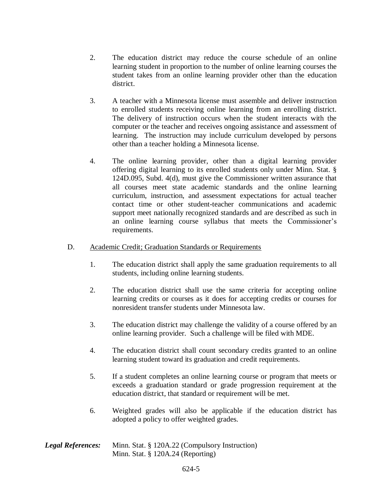- 2. The education district may reduce the course schedule of an online learning student in proportion to the number of online learning courses the student takes from an online learning provider other than the education district.
- 3. A teacher with a Minnesota license must assemble and deliver instruction to enrolled students receiving online learning from an enrolling district. The delivery of instruction occurs when the student interacts with the computer or the teacher and receives ongoing assistance and assessment of learning. The instruction may include curriculum developed by persons other than a teacher holding a Minnesota license.
- 4. The online learning provider, other than a digital learning provider offering digital learning to its enrolled students only under Minn. Stat. § 124D.095, Subd. 4(d), must give the Commissioner written assurance that all courses meet state academic standards and the online learning curriculum, instruction, and assessment expectations for actual teacher contact time or other student-teacher communications and academic support meet nationally recognized standards and are described as such in an online learning course syllabus that meets the Commissioner's requirements.

### D. Academic Credit; Graduation Standards or Requirements

- 1. The education district shall apply the same graduation requirements to all students, including online learning students.
- 2. The education district shall use the same criteria for accepting online learning credits or courses as it does for accepting credits or courses for nonresident transfer students under Minnesota law.
- 3. The education district may challenge the validity of a course offered by an online learning provider. Such a challenge will be filed with MDE.
- 4. The education district shall count secondary credits granted to an online learning student toward its graduation and credit requirements.
- 5. If a student completes an online learning course or program that meets or exceeds a graduation standard or grade progression requirement at the education district, that standard or requirement will be met.
- 6. Weighted grades will also be applicable if the education district has adopted a policy to offer weighted grades.

### *Legal References:* Minn. Stat. § 120A.22 (Compulsory Instruction) Minn. Stat. § 120A.24 (Reporting)